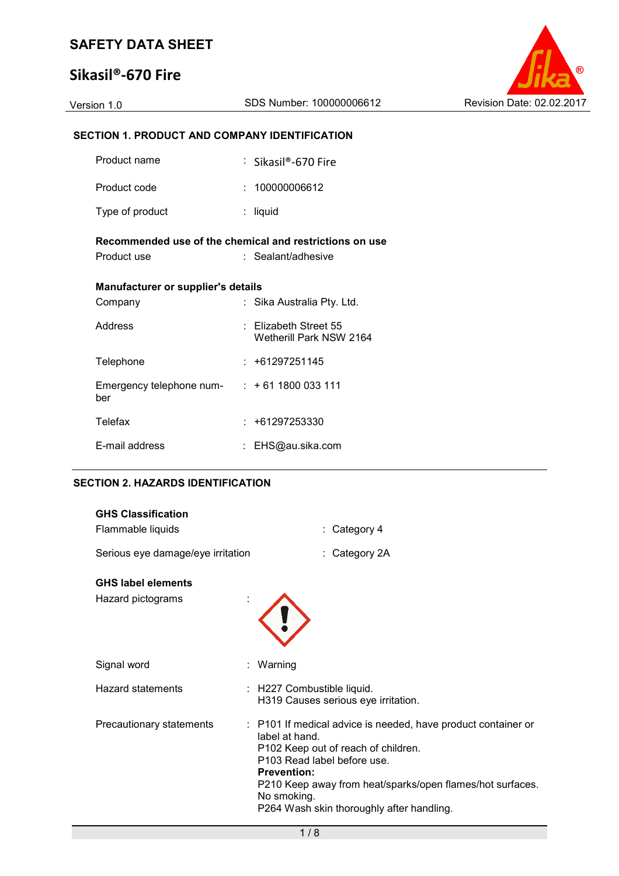# **Sikasil®-670 Fire**



### **SECTION 1. PRODUCT AND COMPANY IDENTIFICATION**

| Product name                                                           | : Sikasil®-670 Fire                                  |
|------------------------------------------------------------------------|------------------------------------------------------|
| Product code                                                           | : 100000006612                                       |
| Type of product                                                        | : liquid                                             |
| Recommended use of the chemical and restrictions on use<br>Product use | : Sealant/adhesive                                   |
| <b>Manufacturer or supplier's details</b>                              |                                                      |
| Company                                                                | : Sika Australia Pty. Ltd.                           |
| Address                                                                | $\pm$ Elizabeth Street 55<br>Wetherill Park NSW 2164 |
| Telephone                                                              | : +61297251145                                       |
| Emergency telephone num- $: +61 1800 033 111$<br>ber                   |                                                      |
| Telefax                                                                | $: +61297253330$                                     |
| E-mail address                                                         | : EHS@au.sika.com                                    |

#### **SECTION 2. HAZARDS IDENTIFICATION**

| <b>GHS Classification</b><br>Flammable liquids | $:$ Category 4                                                                                                                                                                                                                                                                                       |
|------------------------------------------------|------------------------------------------------------------------------------------------------------------------------------------------------------------------------------------------------------------------------------------------------------------------------------------------------------|
| Serious eye damage/eye irritation              | : Category 2A                                                                                                                                                                                                                                                                                        |
| <b>GHS label elements</b><br>Hazard pictograms |                                                                                                                                                                                                                                                                                                      |
| Signal word                                    | Warning                                                                                                                                                                                                                                                                                              |
| <b>Hazard statements</b>                       | : H227 Combustible liquid.<br>H319 Causes serious eye irritation.                                                                                                                                                                                                                                    |
| Precautionary statements                       | : P101 If medical advice is needed, have product container or<br>label at hand.<br>P102 Keep out of reach of children.<br>P103 Read label before use.<br><b>Prevention:</b><br>P210 Keep away from heat/sparks/open flames/hot surfaces.<br>No smoking.<br>P264 Wash skin thoroughly after handling. |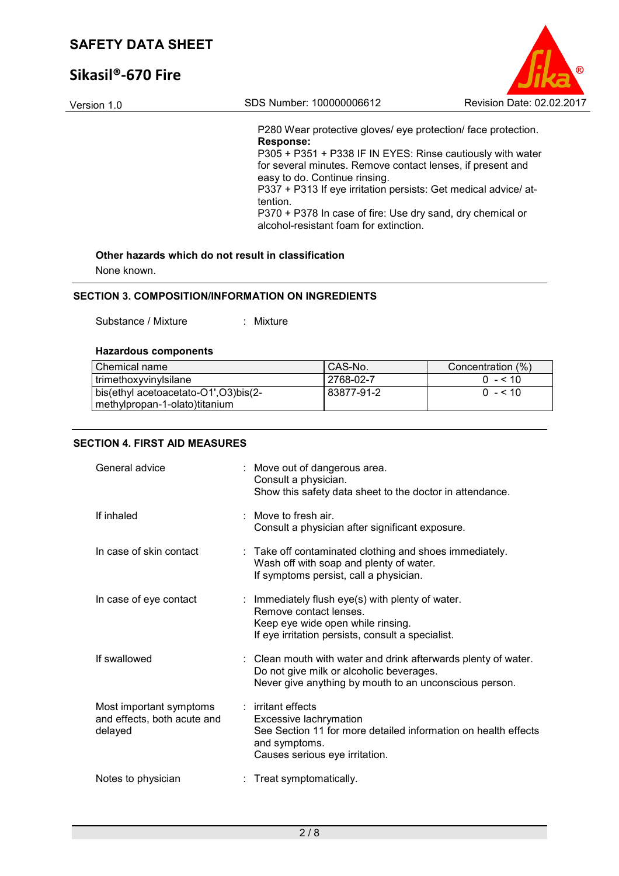# **Sikasil®-670 Fire**

| Version 1.0 | SDS Number: 100000006612                                                                                                                                                                                                                                                                                                                                                                                                       | Revision Date: 02.02.2017 |
|-------------|--------------------------------------------------------------------------------------------------------------------------------------------------------------------------------------------------------------------------------------------------------------------------------------------------------------------------------------------------------------------------------------------------------------------------------|---------------------------|
|             | P280 Wear protective gloves/ eye protection/ face protection.<br>Response:<br>P305 + P351 + P338 IF IN EYES: Rinse cautiously with water<br>for several minutes. Remove contact lenses, if present and<br>easy to do. Continue rinsing.<br>P337 + P313 If eye irritation persists: Get medical advice/ at-<br>tention.<br>P370 + P378 In case of fire: Use dry sand, dry chemical or<br>alcohol-resistant foam for extinction. |                           |

 $\odot$ 

None known.

#### **SECTION 3. COMPOSITION/INFORMATION ON INGREDIENTS**

Substance / Mixture : Mixture

#### **Hazardous components**

| Chemical name                                                          | CAS-No.     | Concentration (%) |
|------------------------------------------------------------------------|-------------|-------------------|
| I trimethoxyvinylsilane                                                | l 2768-02-7 | $0 - 510$         |
| bis(ethyl acetoacetato-O1',O3)bis(2-<br>methylpropan-1-olato) titanium | 83877-91-2  | $0 - 10$          |

### **SECTION 4. FIRST AID MEASURES**

| General advice                                                    | : Move out of dangerous area.<br>Consult a physician.<br>Show this safety data sheet to the doctor in attendance.                                                    |
|-------------------------------------------------------------------|----------------------------------------------------------------------------------------------------------------------------------------------------------------------|
| If inhaled                                                        | $\therefore$ Move to fresh air.<br>Consult a physician after significant exposure.                                                                                   |
| In case of skin contact                                           | : Take off contaminated clothing and shoes immediately.<br>Wash off with soap and plenty of water.<br>If symptoms persist, call a physician.                         |
| In case of eye contact                                            | : Immediately flush eye(s) with plenty of water.<br>Remove contact lenses.<br>Keep eye wide open while rinsing.<br>If eye irritation persists, consult a specialist. |
| If swallowed                                                      | : Clean mouth with water and drink afterwards plenty of water.<br>Do not give milk or alcoholic beverages.<br>Never give anything by mouth to an unconscious person. |
| Most important symptoms<br>and effects, both acute and<br>delayed | $:$ irritant effects<br>Excessive lachrymation<br>See Section 11 for more detailed information on health effects<br>and symptoms.<br>Causes serious eye irritation.  |
| Notes to physician                                                | : Treat symptomatically.                                                                                                                                             |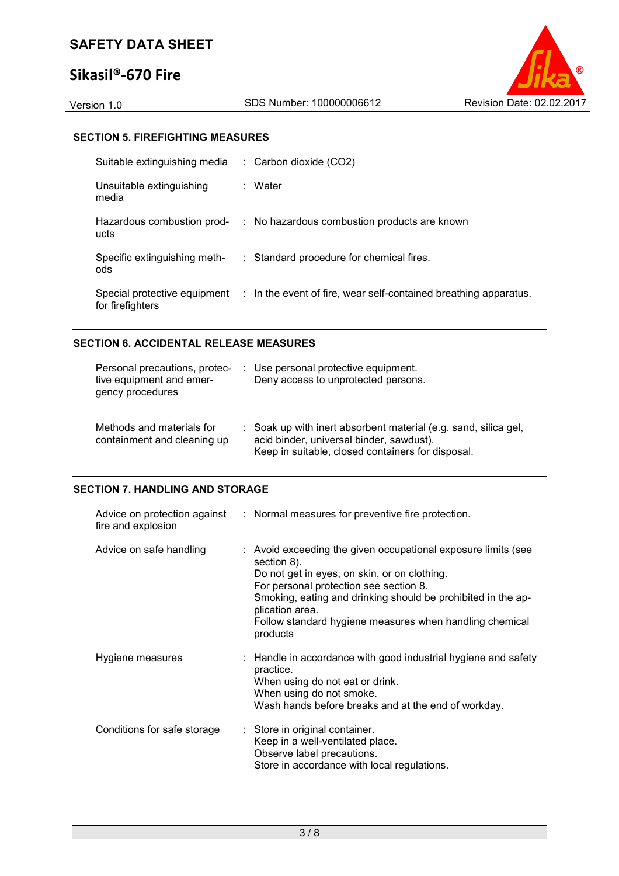## **Sikasil®-670 Fire**



#### **SECTION 5. FIREFIGHTING MEASURES**

| Suitable extinguishing media        | $\therefore$ Carbon dioxide (CO2)                                                             |
|-------------------------------------|-----------------------------------------------------------------------------------------------|
| Unsuitable extinguishing<br>media   | : Water                                                                                       |
| Hazardous combustion prod-<br>ucts  | : No hazardous combustion products are known                                                  |
| Specific extinguishing meth-<br>ods | : Standard procedure for chemical fires.                                                      |
| for firefighters                    | Special protective equipment : In the event of fire, wear self-contained breathing apparatus. |

#### **SECTION 6. ACCIDENTAL RELEASE MEASURES**

| Personal precautions, protec-<br>tive equipment and emer-<br>gency procedures | : Use personal protective equipment.<br>Deny access to unprotected persons.                                                                                      |
|-------------------------------------------------------------------------------|------------------------------------------------------------------------------------------------------------------------------------------------------------------|
| Methods and materials for<br>containment and cleaning up                      | : Soak up with inert absorbent material (e.g. sand, silica gel,<br>acid binder, universal binder, sawdust).<br>Keep in suitable, closed containers for disposal. |

#### **SECTION 7. HANDLING AND STORAGE**

| fire and explosion          | Advice on protection against : Normal measures for preventive fire protection.                                                                                                                                                                                                                                                   |
|-----------------------------|----------------------------------------------------------------------------------------------------------------------------------------------------------------------------------------------------------------------------------------------------------------------------------------------------------------------------------|
| Advice on safe handling     | : Avoid exceeding the given occupational exposure limits (see<br>section 8).<br>Do not get in eyes, on skin, or on clothing.<br>For personal protection see section 8.<br>Smoking, eating and drinking should be prohibited in the ap-<br>plication area.<br>Follow standard hygiene measures when handling chemical<br>products |
| Hygiene measures            | : Handle in accordance with good industrial hygiene and safety<br>practice.<br>When using do not eat or drink.<br>When using do not smoke.<br>Wash hands before breaks and at the end of workday.                                                                                                                                |
| Conditions for safe storage | : Store in original container.<br>Keep in a well-ventilated place.<br>Observe label precautions.<br>Store in accordance with local regulations.                                                                                                                                                                                  |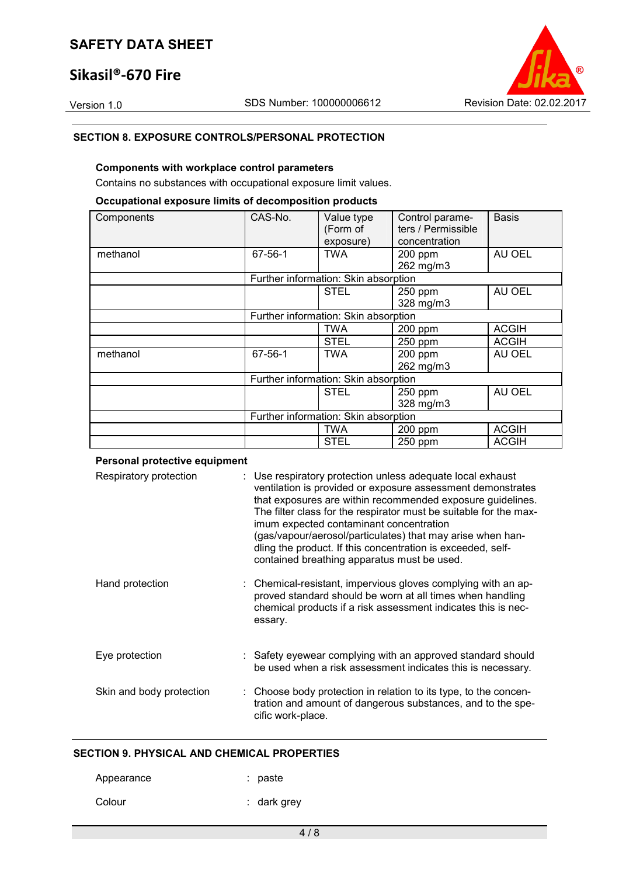### **Sikasil®-670 Fire**



#### **SECTION 8. EXPOSURE CONTROLS/PERSONAL PROTECTION**

#### **Components with workplace control parameters**

Contains no substances with occupational exposure limit values.

### **Occupational exposure limits of decomposition products**

| Components | CAS-No.                              | Value type                           | Control parame-    | <b>Basis</b> |
|------------|--------------------------------------|--------------------------------------|--------------------|--------------|
|            |                                      | (Form of                             | ters / Permissible |              |
|            |                                      | exposure)                            | concentration      |              |
| methanol   | $67 - 56 - 1$                        | <b>TWA</b>                           | 200 ppm            | AU OEL       |
|            |                                      |                                      | 262 mg/m3          |              |
|            |                                      | Further information: Skin absorption |                    |              |
|            |                                      | <b>STEL</b>                          | 250 ppm            | AU OEL       |
|            |                                      |                                      | 328 mg/m3          |              |
|            | Further information: Skin absorption |                                      |                    |              |
|            |                                      | <b>TWA</b>                           | 200 ppm            | <b>ACGIH</b> |
|            |                                      | <b>STEL</b>                          | 250 ppm            | <b>ACGIH</b> |
| methanol   | 67-56-1                              | <b>TWA</b>                           | 200 ppm            | AU OEL       |
|            |                                      |                                      | 262 mg/m3          |              |
|            | Further information: Skin absorption |                                      |                    |              |
|            |                                      | <b>STEL</b>                          | 250 ppm            | AU OEL       |
|            |                                      |                                      | 328 mg/m3          |              |
|            | Further information: Skin absorption |                                      |                    |              |
|            |                                      | TWA                                  | 200 ppm            | <b>ACGIH</b> |
|            |                                      | <b>STEL</b>                          | 250 ppm            | <b>ACGIH</b> |

#### **Personal protective equipment**

| Respiratory protection   | : Use respiratory protection unless adequate local exhaust<br>ventilation is provided or exposure assessment demonstrates<br>that exposures are within recommended exposure guidelines.<br>The filter class for the respirator must be suitable for the max-<br>imum expected contaminant concentration<br>(gas/vapour/aerosol/particulates) that may arise when han-<br>dling the product. If this concentration is exceeded, self-<br>contained breathing apparatus must be used. |
|--------------------------|-------------------------------------------------------------------------------------------------------------------------------------------------------------------------------------------------------------------------------------------------------------------------------------------------------------------------------------------------------------------------------------------------------------------------------------------------------------------------------------|
| Hand protection          | : Chemical-resistant, impervious gloves complying with an ap-<br>proved standard should be worn at all times when handling<br>chemical products if a risk assessment indicates this is nec-<br>essary.                                                                                                                                                                                                                                                                              |
| Eye protection           | : Safety eyewear complying with an approved standard should<br>be used when a risk assessment indicates this is necessary.                                                                                                                                                                                                                                                                                                                                                          |
| Skin and body protection | : Choose body protection in relation to its type, to the concen-<br>tration and amount of dangerous substances, and to the spe-<br>cific work-place.                                                                                                                                                                                                                                                                                                                                |

### **SECTION 9. PHYSICAL AND CHEMICAL PROPERTIES**

| Appearance | : paste     |
|------------|-------------|
| Colour     | : dark grey |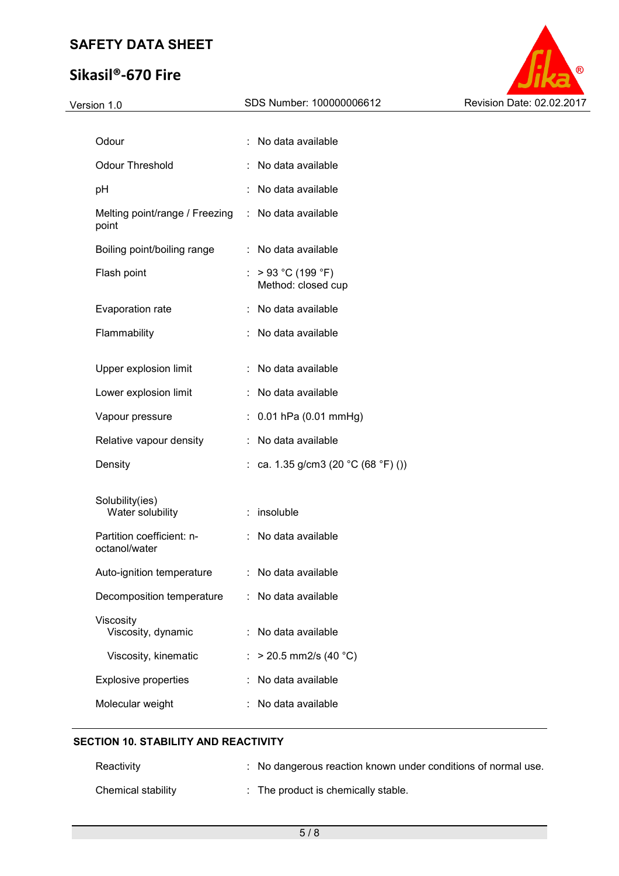# **Sikasil®-670 Fire**



| Version 1.0                                | SDS Number: 100000006612                  | Revision Date: 02.02.2017 |
|--------------------------------------------|-------------------------------------------|---------------------------|
|                                            |                                           |                           |
| Odour                                      | No data available                         |                           |
| <b>Odour Threshold</b>                     | No data available                         |                           |
| pH                                         | No data available                         |                           |
| Melting point/range / Freezing<br>point    | : No data available                       |                           |
| Boiling point/boiling range                | : No data available                       |                           |
| Flash point                                | : $>93 °C (199 °F)$<br>Method: closed cup |                           |
| Evaporation rate                           | : No data available                       |                           |
| Flammability                               | : No data available                       |                           |
| Upper explosion limit                      | : No data available                       |                           |
| Lower explosion limit                      | : No data available                       |                           |
| Vapour pressure                            | $: 0.01$ hPa (0.01 mmHg)                  |                           |
| Relative vapour density                    | No data available                         |                           |
| Density                                    | : ca. 1.35 g/cm3 (20 °C (68 °F) ())       |                           |
| Solubility(ies)<br>Water solubility        | : insoluble                               |                           |
| Partition coefficient: n-<br>octanol/water | : No data available                       |                           |
| Auto-ignition temperature                  | No data available                         |                           |
| Decomposition temperature                  | No data available                         |                           |
| Viscosity<br>Viscosity, dynamic            | No data available                         |                           |
| Viscosity, kinematic                       | $>$ 20.5 mm2/s (40 °C)                    |                           |
| <b>Explosive properties</b>                | No data available                         |                           |
| Molecular weight                           | No data available                         |                           |

# **SECTION 10. STABILITY AND REACTIVITY**

| Reactivity         | : No dangerous reaction known under conditions of normal use. |
|--------------------|---------------------------------------------------------------|
| Chemical stability | $\therefore$ The product is chemically stable.                |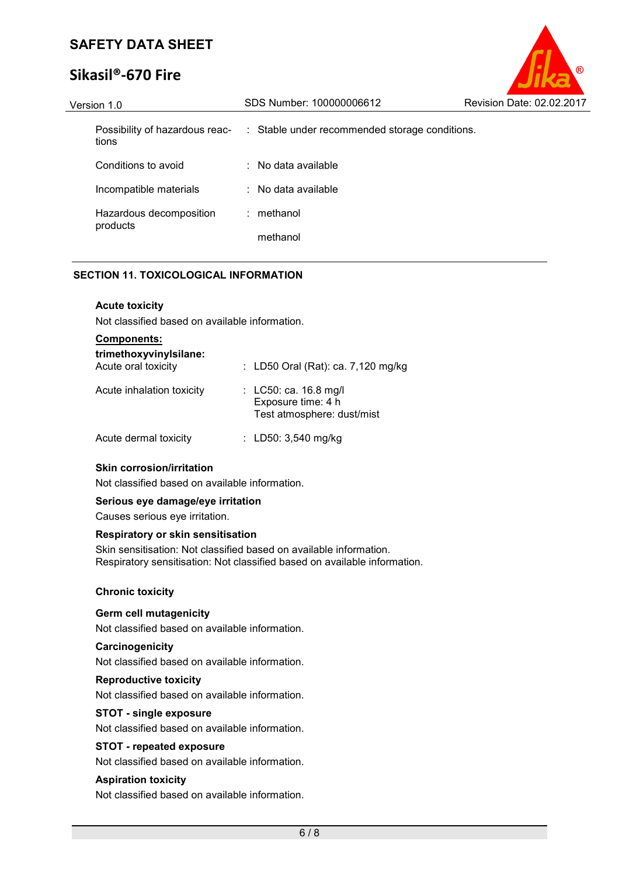# **Sikasil®-670 Fire**

| Version 1.0                             | SDS Number: 100000006612                       | Revision Date: 02.02.2017 |
|-----------------------------------------|------------------------------------------------|---------------------------|
| Possibility of hazardous reac-<br>tions | : Stable under recommended storage conditions. |                           |
| Conditions to avoid                     | $\therefore$ No data available                 |                           |
| Incompatible materials                  | $\therefore$ No data available                 |                           |
| Hazardous decomposition<br>products     | : methanol                                     |                           |
|                                         | methanol                                       |                           |

#### **SECTION 11. TOXICOLOGICAL INFORMATION**

#### **Acute toxicity**

Not classified based on available information.

| <b>Components:</b>                            |                                                                           |
|-----------------------------------------------|---------------------------------------------------------------------------|
| trimethoxyvinylsilane:<br>Acute oral toxicity | : LD50 Oral (Rat): ca. $7,120$ mg/kg                                      |
| Acute inhalation toxicity                     | : LC50: ca. 16.8 mg/l<br>Exposure time: 4 h<br>Test atmosphere: dust/mist |
| Acute dermal toxicity                         | : LD50: $3,540$ mg/kg                                                     |

#### **Skin corrosion/irritation**

Not classified based on available information.

#### **Serious eye damage/eye irritation**

Causes serious eye irritation.

#### **Respiratory or skin sensitisation**

Skin sensitisation: Not classified based on available information. Respiratory sensitisation: Not classified based on available information.

#### **Chronic toxicity**

#### **Germ cell mutagenicity**

Not classified based on available information.

#### **Carcinogenicity**

Not classified based on available information.

#### **Reproductive toxicity**

Not classified based on available information.

#### **STOT - single exposure**

Not classified based on available information.

#### **STOT - repeated exposure**

Not classified based on available information.

#### **Aspiration toxicity**

Not classified based on available information.

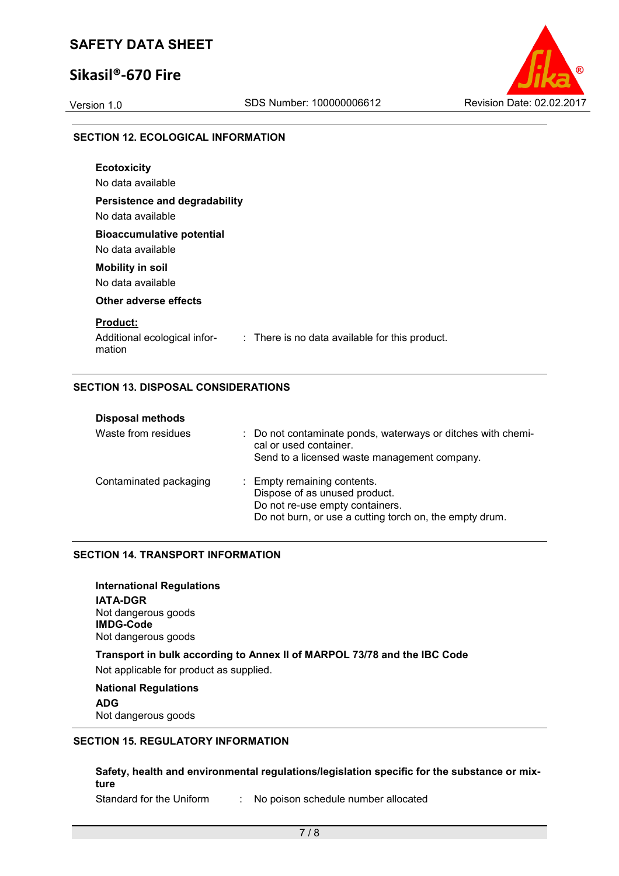### **Sikasil®-670 Fire**



#### **SECTION 12. ECOLOGICAL INFORMATION**

| <b>Ecotoxicity</b><br>No data available                                                                     |
|-------------------------------------------------------------------------------------------------------------|
| Persistence and degradability<br>No data available                                                          |
| <b>Bioaccumulative potential</b><br>No data available                                                       |
| <b>Mobility in soil</b><br>No data available                                                                |
| Other adverse effects                                                                                       |
| <b>Product:</b><br>Additional ecological infor-<br>: There is no data available for this product.<br>mation |

### **SECTION 13. DISPOSAL CONSIDERATIONS**

| <b>Disposal methods</b> |                                                                                                                                                            |
|-------------------------|------------------------------------------------------------------------------------------------------------------------------------------------------------|
| Waste from residues     | : Do not contaminate ponds, waterways or ditches with chemi-<br>cal or used container.<br>Send to a licensed waste management company.                     |
| Contaminated packaging  | : Empty remaining contents.<br>Dispose of as unused product.<br>Do not re-use empty containers.<br>Do not burn, or use a cutting torch on, the empty drum. |

#### **SECTION 14. TRANSPORT INFORMATION**

**International Regulations IATA-DGR** Not dangerous goods **IMDG-Code** Not dangerous goods

**Transport in bulk according to Annex II of MARPOL 73/78 and the IBC Code** 

Not applicable for product as supplied.

# **National Regulations**

**ADG** Not dangerous goods

#### **SECTION 15. REGULATORY INFORMATION**

**Safety, health and environmental regulations/legislation specific for the substance or mixture** 

Standard for the Uniform : No poison schedule number allocated